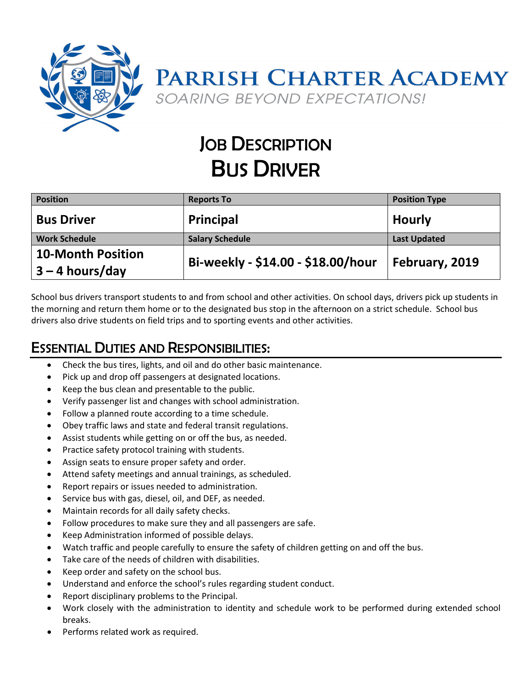

## **JOB DESCRIPTION** BUS DRIVER

| <b>Position</b>                               | <b>Reports To</b>                  | <b>Position Type</b> |
|-----------------------------------------------|------------------------------------|----------------------|
| <b>Bus Driver</b>                             | Principal                          | <b>Hourly</b>        |
| <b>Work Schedule</b>                          | <b>Salary Schedule</b>             | <b>Last Updated</b>  |
| <b>10-Month Position</b><br>$3 - 4$ hours/day | Bi-weekly - \$14.00 - \$18.00/hour | February, 2019       |

School bus drivers transport students to and from school and other activities. On school days, drivers pick up students in the morning and return them home or to the designated bus stop in the afternoon on a strict schedule. School bus drivers also drive students on field trips and to sporting events and other activities.

## ESSENTIAL DUTIES AND RESPONSIBILITIES:

- Check the bus tires, lights, and oil and do other basic maintenance.
- Pick up and drop off passengers at designated locations.
- Keep the bus clean and presentable to the public.
- Verify passenger list and changes with school administration.
- Follow a planned route according to a time schedule.
- Obey traffic laws and state and federal transit regulations.
- Assist students while getting on or off the bus, as needed.
- Practice safety protocol training with students.
- Assign seats to ensure proper safety and order.
- Attend safety meetings and annual trainings, as scheduled.
- Report repairs or issues needed to administration.
- Service bus with gas, diesel, oil, and DEF, as needed.
- Maintain records for all daily safety checks.
- Follow procedures to make sure they and all passengers are safe.
- Keep Administration informed of possible delays.
- Watch traffic and people carefully to ensure the safety of children getting on and off the bus.
- Take care of the needs of children with disabilities.
- Keep order and safety on the school bus.
- Understand and enforce the school's rules regarding student conduct.
- Report disciplinary problems to the Principal.
- Work closely with the administration to identity and schedule work to be performed during extended school breaks.
- Performs related work as required.